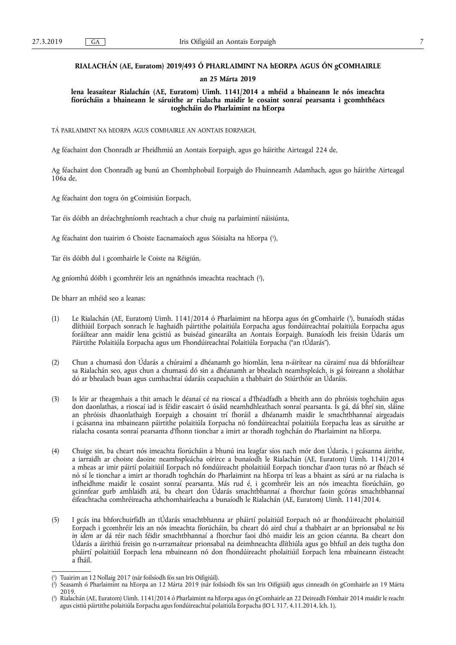# **RIALACHÁN (AE, Euratom) 2019/493 Ó PHARLAIMINT NA hEORPA AGUS ÓN gCOMHAIRLE**

### **an 25 Márta 2019**

**lena leasaítear Rialachán (AE, Euratom) Uimh. 1141/2014 a mhéid a bhaineann le nós imeachta fíorúcháin a bhaineann le sáruithe ar rialacha maidir le cosaint sonraí pearsanta i gcomhthéacs toghcháin do Pharlaimint na hEorpa** 

TÁ PARLAIMINT NA hEORPA AGUS COMHAIRLE AN AONTAIS EORPAIGH,

Ag féachaint don Chonradh ar Fheidhmiú an Aontais Eorpaigh, agus go háirithe Airteagal 224 de,

Ag féachaint don Chonradh ag bunú an Chomhphobail Eorpaigh do Fhuinneamh Adamhach, agus go háirithe Airteagal 106a de,

Ag féachaint don togra ón gCoimisiún Eorpach,

Tar éis dóibh an dréachtghníomh reachtach a chur chuig na parlaimintí náisiúnta,

Ag féachaint don tuairim ó Choiste Eacnamaíoch agus Sóisialta na hEorpa ( 1 ),

Tar éis dóibh dul i gcomhairle le Coiste na Réigiún,

Ag gníomhú dóibh i gcomhréir leis an ngnáthnós imeachta reachtach ( 2 ),

De bharr an mhéid seo a leanas:

- (1) Le Rialachán (AE, Euratom) Uimh. 1141/2014 ó Pharlaimint na hEorpa agus ón gComhairle ( 3 ), bunaíodh stádas dlíthiúil Eorpach sonrach le haghaidh páirtithe polaitiúla Eorpacha agus fondúireachtaí polaitiúla Eorpacha agus foráiltear ann maidir lena gcistiú as buiséad ginearálta an Aontais Eorpaigh. Bunaíodh leis freisin Údarás um Páirtithe Polaitiúla Eorpacha agus um Fhondúireachtaí Polaitiúla Eorpacha ("an tÚdarás").
- (2) Chun a chumasú don Údarás a chúraimí a dhéanamh go hiomlán, lena n-áirítear na cúraimí nua dá bhforáiltear sa Rialachán seo, agus chun a chumasú dó sin a dhéanamh ar bhealach neamhspleách, is gá foireann a sholáthar dó ar bhealach buan agus cumhachtaí údaráis ceapacháin a thabhairt do Stiúrthóir an Údaráis.
- (3) Is léir ar theagmhais a thit amach le déanaí cé na rioscaí a d'fhéadfadh a bheith ann do phróisis toghcháin agus don daonlathas, a rioscaí iad is féidir eascairt ó úsáid neamhdhleathach sonraí pearsanta. Is gá, dá bhrí sin, sláine an phróisis dhaonlathaigh Eorpaigh a chosaint trí fhoráil a dhéanamh maidir le smachtbhannaí airgeadais i gcásanna ina mbaineann páirtithe polaitiúla Eorpacha nó fondúireachtaí polaitiúla Eorpacha leas as sáruithe ar rialacha cosanta sonraí pearsanta d'fhonn tionchar a imirt ar thoradh toghchán do Pharlaimint na hEorpa.
- (4) Chuige sin, ba cheart nós imeachta fíorúcháin a bhunú ina leagfar síos nach mór don Údarás, i gcásanna áirithe, a iarraidh ar choiste daoine neamhspleácha oirirce a bunaíodh le Rialachán (AE, Euratom) Uimh. 1141/2014 a mheas ar imir páirtí polaitiúil Eorpach nó fondúireacht pholaitiúil Eorpach tionchar d'aon turas nó ar fhéach sé nó sí le tionchar a imirt ar thoradh toghchán do Pharlaimint na hEorpa trí leas a bhaint as sárú ar na rialacha is infheidhme maidir le cosaint sonraí pearsanta. Más rud é, i gcomhréir leis an nós imeachta fíorúcháin, go gcinnfear gurb amhlaidh atá, ba cheart don Údarás smachtbhannaí a fhorchur faoin gcóras smachtbhannaí éifeachtacha comhréireacha athchomhairleacha a bunaíodh le Rialachán (AE, Euratom) Uimh. 1141/2014.
- (5) I gcás ina bhforchuirfidh an tÚdarás smachtbhanna ar pháirtí polaitiúil Eorpach nó ar fhondúireacht pholaitiúil Eorpach i gcomhréir leis an nós imeachta fíorúcháin, ba cheart dó aird chuí a thabhairt ar an bprionsabal *ne bis in idem* ar dá réir nach féidir smachtbhannaí a fhorchur faoi dhó maidir leis an gcion céanna. Ba cheart don Údarás a áirithiú freisin go n-urramaítear prionsabal na deimhneachta dlíthiúla agus go bhfuil an deis tugtha don pháirtí polaitiúil Eorpach lena mbaineann nó don fhondúireacht pholaitiúil Eorpach lena mbaineann éisteacht a fháil.

<sup>(</sup> 1 ) Tuairim an 12 Nollaig 2017 (nár foilsíodh fós san Iris Oifigiúil).

<sup>(</sup> 2 ) Seasamh ó Pharlaimint na hEorpa an 12 Márta 2019 (nár foilsíodh fós san Iris Oifigiúil) agus cinneadh ón gComhairle an 19 Márta 2019.

<sup>(</sup> 3 ) Rialachán (AE, Euratom) Uimh. 1141/2014 ó Pharlaimint na hEorpa agus ón gComhairle an 22 Deireadh Fómhair 2014 maidir le reacht agus cistiú páirtithe polaitiúla Eorpacha agus fondúireachtaí polaitiúla Eorpacha (IO L 317, 4.11.2014, lch. 1).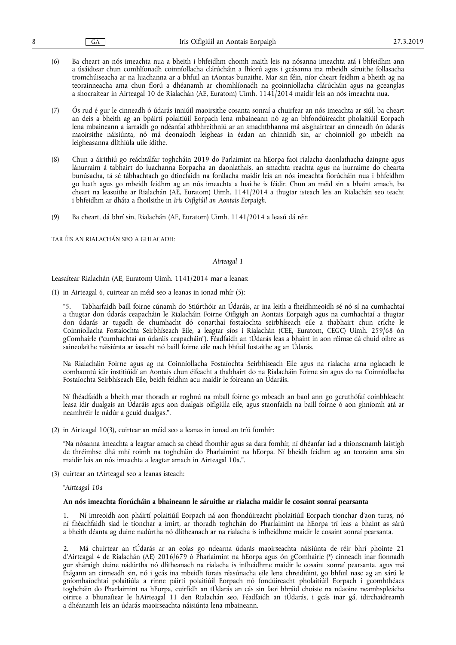- (6) Ba cheart an nós imeachta nua a bheith i bhfeidhm chomh maith leis na nósanna imeachta atá i bhfeidhm ann a úsáidtear chun comhlíonadh coinníollacha clárúcháin a fhíorú agus i gcásanna ina mbeidh sáruithe follasacha tromchúiseacha ar na luachanna ar a bhfuil an tAontas bunaithe. Mar sin féin, níor cheart feidhm a bheith ag na teorainneacha ama chun fíorú a dhéanamh ar chomhlíonadh na gcoinníollacha clárúcháin agus na gceanglas a shocraítear in Airteagal 10 de Rialachán (AE, Euratom) Uimh. 1141/2014 maidir leis an nós imeachta nua.
- (7) Ós rud é gur le cinneadh ó údarás inniúil maoirsithe cosanta sonraí a chuirfear an nós imeachta ar siúl, ba cheart an deis a bheith ag an bpáirtí polaitiúil Eorpach lena mbaineann nó ag an bhfondúireacht pholaitiúil Eorpach lena mbaineann a iarraidh go ndéanfaí athbhreithniú ar an smachtbhanna má aisghairtear an cinneadh ón údarás maoirsithe náisiúnta, nó má deonaíodh leigheas in éadan an chinnidh sin, ar choinníoll go mbeidh na leigheasanna dlíthiúla uile ídithe.
- (8) Chun a áirithiú go reáchtálfar toghcháin 2019 do Parlaimint na hEorpa faoi rialacha daonlathacha daingne agus lánurraim á tabhairt do luachanna Eorpacha an daonlathais, an smachta reachta agus na hurraime do chearta bunúsacha, tá sé tábhachtach go dtiocfaidh na forálacha maidir leis an nós imeachta fíorúcháin nua i bhfeidhm go luath agus go mbeidh feidhm ag an nós imeachta a luaithe is féidir. Chun an méid sin a bhaint amach, ba cheart na leasuithe ar Rialachán (AE, Euratom) Uimh. 1141/2014 a thugtar isteach leis an Rialachán seo teacht i bhfeidhm ar dháta a fhoilsithe in *Iris Oifigiúil an Aontais Eorpaigh*.
- (9) Ba cheart, dá bhrí sin, Rialachán (AE, Euratom) Uimh. 1141/2014 a leasú dá réir,

TAR ÉIS AN RIALACHÁN SEO A GHLACADH:

#### *Airteagal 1*

Leasaítear Rialachán (AE, Euratom) Uimh. 1141/2014 mar a leanas:

(1) in Airteagal 6, cuirtear an méid seo a leanas in ionad mhír (5):

"5. Tabharfaidh baill foirne cúnamh do Stiúrthóir an Údaráis, ar ina leith a fheidhmeoidh sé nó sí na cumhachtaí a thugtar don údarás ceapacháin le Rialacháin Foirne Oifigigh an Aontais Eorpaigh agus na cumhachtaí a thugtar don údarás ar tugadh de chumhacht dó conarthaí fostaíochta seirbhíseach eile a thabhairt chun críche le Coinníollacha Fostaíochta Seirbhíseach Eile, a leagtar síos i Rialachán (CEE, Euratom, CEGC) Uimh. 259/68 ón gComhairle ("cumhachtaí an údaráis ceapacháin"). Féadfaidh an tÚdarás leas a bhaint in aon réimse dá chuid oibre as saineolaithe náisiúnta ar iasacht nó baill foirne eile nach bhfuil fostaithe ag an Údarás.

Na Rialacháin Foirne agus ag na Coinníollacha Fostaíochta Seirbhíseach Eile agus na rialacha arna nglacadh le comhaontú idir institiúidí an Aontais chun éifeacht a thabhairt do na Rialacháin Foirne sin agus do na Coinníollacha Fostaíochta Seirbhíseach Eile, beidh feidhm acu maidir le foireann an Údaráis.

Ní fhéadfaidh a bheith mar thoradh ar roghnú na mball foirne go mbeadh an baol ann go gcruthófaí coinbhleacht leasa idir dualgais an Údaráis agus aon dualgais oifigiúla eile, agus staonfaidh na baill foirne ó aon ghníomh atá ar neamhréir le nádúr a gcuid dualgas.".

(2) in Airteagal 10(3), cuirtear an méid seo a leanas in ionad an tríú fomhír:

"Na nósanna imeachta a leagtar amach sa chéad fhomhír agus sa dara fomhír, ní dhéanfar iad a thionscnamh laistigh de thréimhse dhá mhí roimh na toghcháin do Pharlaimint na hEorpa. Ní bheidh feidhm ag an teorainn ama sin maidir leis an nós imeachta a leagtar amach in Airteagal 10a.".

(3) cuirtear an tAirteagal seo a leanas isteach:

"*Airteagal 10a* 

#### **An nós imeachta fíorúcháin a bhaineann le sáruithe ar rialacha maidir le cosaint sonraí pearsanta**

1. Ní imreoidh aon pháirtí polaitiúil Eorpach ná aon fhondúireacht pholaitiúil Eorpach tionchar d'aon turas, nó ní fhéachfaidh siad le tionchar a imirt, ar thoradh toghchán do Pharlaimint na hEorpa trí leas a bhaint as sárú a bheith déanta ag duine nadúrtha nó dlítheanach ar na rialacha is infheidhme maidir le cosaint sonraí pearsanta.

2. Má chuirtear an tÚdarás ar an eolas go ndearna údarás maoirseachta náisiúnta de réir bhrí phointe 21 d'Airteagal 4 de Rialachán (AE) 2016/679 ó Pharlaimint na hEorpa agus ón gComhairle (\*) cinneadh inar fionnadh gur sháraigh duine nádúrtha nó dlítheanach na rialacha is infheidhme maidir le cosaint sonraí pearsanta. agus má fhágann an cinneadh sin, nó i gcás ina mbeidh forais réasúnacha eile lena chreidiúint, go bhfuil nasc ag an sárú le gníomhaíochtaí polaitiúla a rinne páirtí polaitiúil Eorpach nó fondúireacht pholaitiúil Eorpach i gcomhthéacs toghcháin do Pharlaimint na hEorpa, cuirfidh an tÚdarás an cás sin faoi bhráid choiste na ndaoine neamhspleácha oirirce a bhunaítear le hAirteagal 11 den Rialachán seo. Féadfaidh an tÚdarás, i gcás inar gá, idirchaidreamh a dhéanamh leis an údarás maoirseachta náisiúnta lena mbaineann.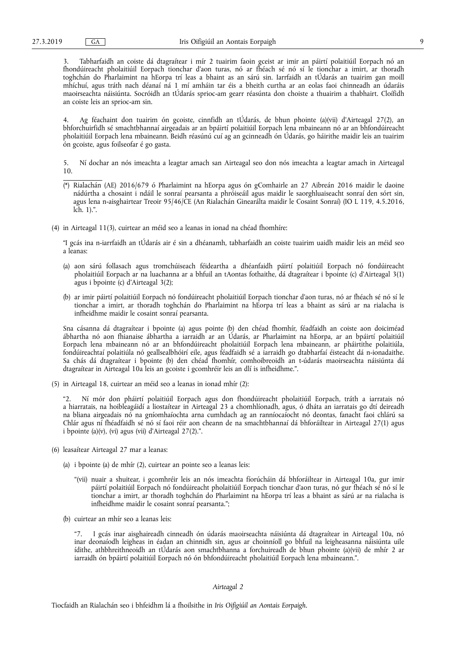3. Tabharfaidh an coiste dá dtagraítear i mír 2 tuairim faoin gceist ar imir an páirtí polaitiúil Eorpach nó an fhondúireacht pholaitiúil Eorpach tionchar d'aon turas, nó ar fhéach sé nó sí le tionchar a imirt, ar thoradh toghchán do Pharlaimint na hEorpa trí leas a bhaint as an sárú sin. Iarrfaidh an tÚdarás an tuairim gan moill mhíchuí, agus tráth nach déanaí ná 1 mí amháin tar éis a bheith curtha ar an eolas faoi chinneadh an údaráis maoirseachta náisiúnta. Socróidh an tÚdarás sprioc-am gearr réasúnta don choiste a thuairim a thabhairt. Cloífidh an coiste leis an sprioc-am sin.

4. Ag féachaint don tuairim ón gcoiste, cinnfidh an tÚdarás, de bhun phointe (a)(vii) d'Airteagal 27(2), an bhforchuirfidh sé smachtbhannaí airgeadais ar an bpáirtí polaitiúil Eorpach lena mbaineann nó ar an bhfondúireacht pholaitiúil Eorpach lena mbaineann. Beidh réasúnú cuí ag an gcinneadh ón Údarás, go háirithe maidir leis an tuairim ón gcoiste, agus foilseofar é go gasta.

5. Ní dochar an nós imeachta a leagtar amach san Airteagal seo don nós imeachta a leagtar amach in Airteagal 10.

- (\*) Rialachán (AE) 2016/679 ó Pharlaimint na hEorpa agus ón gComhairle an 27 Aibreán 2016 maidir le daoine nádúrtha a chosaint i ndáil le sonraí pearsanta a phróiseáil agus maidir le saorghluaiseacht sonraí den sórt sin, agus lena n-aisghairtear Treoir 95/46/CE (An Rialachán Ginearálta maidir le Cosaint Sonraí) (IO L 119, 4.5.2016, lch. 1).".
- (4) in Airteagal 11(3), cuirtear an méid seo a leanas in ionad na chéad fhomhíre:

"I gcás ina n-iarrfaidh an tÚdarás air é sin a dhéanamh, tabharfaidh an coiste tuairim uaidh maidir leis an méid seo a leanas:

- (a) aon sárú follasach agus tromchúiseach féideartha a dhéanfaidh páirtí polaitiúil Eorpach nó fondúireacht pholaitiúil Eorpach ar na luachanna ar a bhfuil an tAontas fothaithe, dá dtagraítear i bpointe (c) d'Airteagal 3(1) agus i bpointe (c) d'Airteagal 3(2);
- (b) ar imir páirtí polaitiúil Eorpach nó fondúireacht pholaitiúil Eorpach tionchar d'aon turas, nó ar fhéach sé nó sí le tionchar a imirt, ar thoradh toghchán do Pharlaimint na hEorpa trí leas a bhaint as sárú ar na rialacha is infheidhme maidir le cosaint sonraí pearsanta.

Sna cásanna dá dtagraítear i bpointe (a) agus pointe (b) den chéad fhomhír, féadfaidh an coiste aon doiciméad ábhartha nó aon fhianaise ábhartha a iarraidh ar an Údarás, ar Pharlaimint na hEorpa, ar an bpáirtí polaitiúil Eorpach lena mbaineann nó ar an bhfondúireacht pholaitiúil Eorpach lena mbaineann, ar pháirtithe polaitiúla, fondúireachtaí polaitiúla nó geallsealbhóirí eile, agus féadfaidh sé a iarraidh go dtabharfaí éisteacht dá n-ionadaithe. Sa chás dá dtagraítear i bpointe (b) den chéad fhomhír, comhoibreoidh an t-údarás maoirseachta náisiúnta dá dtagraítear in Airteagal 10a leis an gcoiste i gcomhréir leis an dlí is infheidhme.".

(5) in Airteagal 18, cuirtear an méid seo a leanas in ionad mhír (2):

"2. Ní mór don pháirtí polaitiúil Eorpach agus don fhondúireacht pholaitiúil Eorpach, tráth a iarratais nó a hiarratais, na hoibleagáidí a liostaítear in Airteagal 23 a chomhlíonadh, agus, ó dháta an iarratais go dtí deireadh na bliana airgeadais nó na gníomhaíochta arna cumhdach ag an ranníocaíocht nó deontas, fanacht faoi chlárú sa Chlár agus ní fhéadfaidh sé nó sí faoi réir aon cheann de na smachtbhannaí dá bhforáiltear in Airteagal 27(1) agus i bpointe (a)(v), (vi) agus (vii) d'Airteagal 27(2).".

- (6) leasaítear Airteagal 27 mar a leanas:
	- (a) i bpointe (a) de mhír (2), cuirtear an pointe seo a leanas leis:
		- "(vii) nuair a shuitear, i gcomhréir leis an nós imeachta fíorúcháin dá bhforáiltear in Airteagal 10a, gur imir páirtí polaitiúil Eorpach nó fondúireacht pholaitiúil Eorpach tionchar d'aon turas, nó gur fhéach sé nó sí le tionchar a imirt, ar thoradh toghchán do Pharlaimint na hEorpa trí leas a bhaint as sárú ar na rialacha is infheidhme maidir le cosaint sonraí pearsanta.";
	- (b) cuirtear an mhír seo a leanas leis:

"7. I gcás inar aisghaireadh cinneadh ón údarás maoirseachta náisiúnta dá dtagraítear in Airteagal 10a, nó inar deonaíodh leigheas in éadan an chinnidh sin, agus ar choinníoll go bhfuil na leigheasanna náisiúnta uile ídithe, athbhreithneoidh an tÚdarás aon smachtbhanna a forchuireadh de bhun phointe (a)(vii) de mhír 2 ar iarraidh ón bpáirtí polaitiúil Eorpach nó ón bhfondúireacht pholaitiúil Eorpach lena mbaineann.".

## *Airteagal 2*

Tiocfaidh an Rialachán seo i bhfeidhm lá a fhoilsithe in *Iris Oifigiúil an Aontais Eorpaigh*.